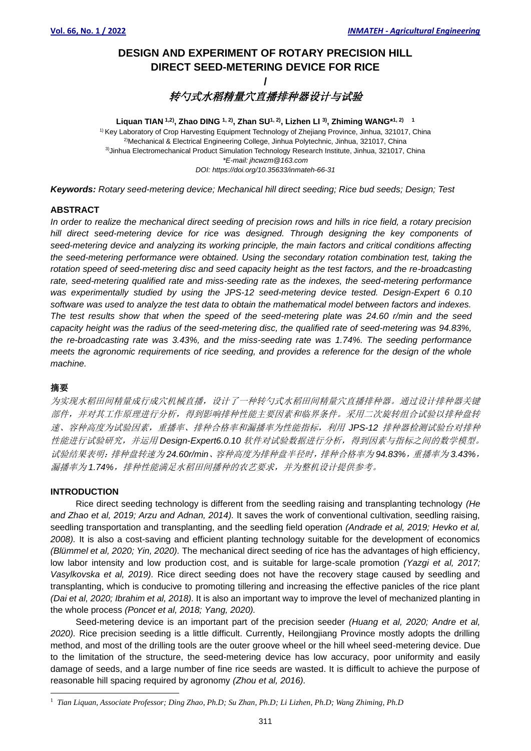# **DESIGN AND EXPERIMENT OF ROTARY PRECISION HILL DIRECT SEED-METERING DEVICE FOR RICE**

# **/** 转勺式水稻精量穴直播排种器设计与试验

**Liquan TIAN 1,2) , Zhao DING 1, 2) , Zhan SU1, 2) , Lizhen LI 3) , Zhiming WANG\* 1, 2) 1** <sup>1)</sup> Key Laboratory of Crop Harvesting Equipment Technology of Zhejiang Province, Jinhua, 321017, China 2)Mechanical & Electrical Engineering College, Jinhua Polytechnic, Jinhua, 321017, China 3)Jinhua Electromechanical Product Simulation Technology Research Institute, Jinhua, 321017, China *\*E-mail: jhcwzm@163.com DOI: https://doi.org/10.35633/inmateh-66-31*

*Keywords: Rotary seed-metering device; Mechanical hill direct seeding; Rice bud seeds; Design; Test*

# **ABSTRACT**

*In order to realize the mechanical direct seeding of precision rows and hills in rice field, a rotary precision hill direct seed-metering device for rice was designed. Through designing the key components of seed-metering device and analyzing its working principle, the main factors and critical conditions affecting the seed-metering performance were obtained. Using the secondary rotation combination test, taking the rotation speed of seed-metering disc and seed capacity height as the test factors, and the re-broadcasting rate, seed-metering qualified rate and miss-seeding rate as the indexes, the seed-metering performance was experimentally studied by using the JPS-12 seed-metering device tested. Design-Expert 6 0.10 software was used to analyze the test data to obtain the mathematical model between factors and indexes. The test results show that when the speed of the seed-metering plate was 24.60 r/min and the seed capacity height was the radius of the seed-metering disc, the qualified rate of seed-metering was 94.83%, the re-broadcasting rate was 3.43%, and the miss-seeding rate was 1.74%. The seeding performance meets the agronomic requirements of rice seeding, and provides a reference for the design of the whole machine.*

# 摘要

为实现水稻田间精量成行成穴机械直播,设计了一种转勺式水稻田间精量穴直播排种器。通过设计排种器关键 部件,并对其工作原理进行分析,得到影响排种性能主要因素和临界条件。采用二次旋转组合试验以排种盘转 速、容种高度为试验因素,重播率、排种合格率和漏播率为性能指标,利用 *JPS-12* 排种器检测试验台对排种 性能进行试验研究,并运用 *Design-Expert6.0.10* 软件对试验数据进行分析,得到因素与指标之间的数学模型。 试验结果表明:排种盘转速为 *24.60r/min*、容种高度为排种盘半径时,排种合格率为 *94.83%*,重播率为 *3.43%*, 漏播率为 *1.74%*,排种性能满足水稻田间播种的农艺要求,并为整机设计提供参考。

# **INTRODUCTION**

Rice direct seeding technology is different from the seedling raising and transplanting technology *(He and Zhao et al, 2019; Arzu and Adnan, 2014).* It saves the work of conventional cultivation, seedling raising, seedling transportation and transplanting, and the seedling field operation *(Andrade et al, 2019; Hevko et al, 2008).* It is also a cost-saving and efficient planting technology suitable for the development of economics *(Blümmel et al, 2020; Yin, 2020).* The mechanical direct seeding of rice has the advantages of high efficiency, low labor intensity and low production cost, and is suitable for large-scale promotion *(Yazgi et al, 2017; Vasylkovska et al, 2019).* Rice direct seeding does not have the recovery stage caused by seedling and transplanting, which is conducive to promoting tillering and increasing the effective panicles of the rice plant *(Dai et al, 2020; Ibrahim et al, 2018).* It is also an important way to improve the level of mechanized planting in the whole process *(Poncet et al, 2018; Yang, 2020).*

Seed-metering device is an important part of the precision seeder *(Huang et al, 2020; Andre et al, 2020).* Rice precision seeding is a little difficult. Currently, Heilongjiang Province mostly adopts the drilling method, and most of the drilling tools are the outer groove wheel or the hill wheel seed-metering device. Due to the limitation of the structure, the seed-metering device has low accuracy, poor uniformity and easily damage of seeds, and a large number of fine rice seeds are wasted. It is difficult to achieve the purpose of reasonable hill spacing required by agronomy *(Zhou et al, 2016).*

<sup>1</sup> *Tian Liquan, Associate Professor; Ding Zhao, Ph.D; Su Zhan, Ph.D; Li Lizhen, Ph.D; Wang Zhiming, Ph.D*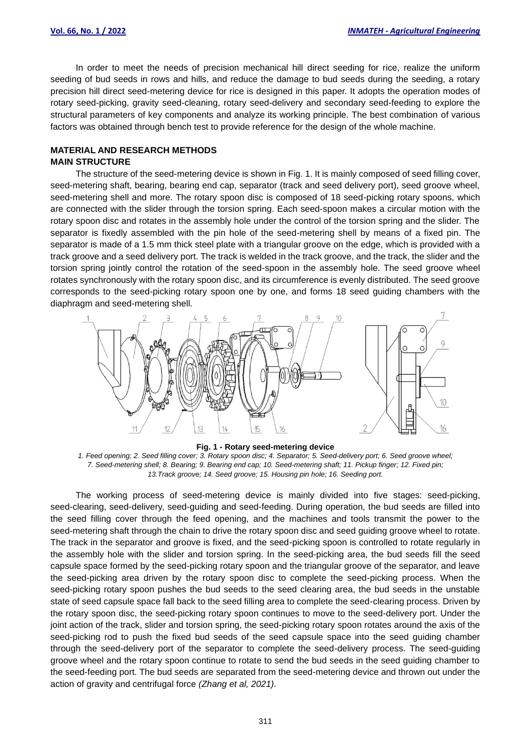In order to meet the needs of precision mechanical hill direct seeding for rice, realize the uniform seeding of bud seeds in rows and hills, and reduce the damage to bud seeds during the seeding, a rotary precision hill direct seed-metering device for rice is designed in this paper. It adopts the operation modes of rotary seed-picking, gravity seed-cleaning, rotary seed-delivery and secondary seed-feeding to explore the structural parameters of key components and analyze its working principle. The best combination of various factors was obtained through bench test to provide reference for the design of the whole machine.

### **MATERIAL AND RESEARCH METHODS MAIN STRUCTURE**

The structure of the seed-metering device is shown in Fig. 1. It is mainly composed of seed filling cover, seed-metering shaft, bearing, bearing end cap, separator (track and seed delivery port), seed groove wheel, seed-metering shell and more. The rotary spoon disc is composed of 18 seed-picking rotary spoons, which are connected with the slider through the torsion spring. Each seed-spoon makes a circular motion with the rotary spoon disc and rotates in the assembly hole under the control of the torsion spring and the slider. The separator is fixedly assembled with the pin hole of the seed-metering shell by means of a fixed pin. The separator is made of a 1.5 mm thick steel plate with a triangular groove on the edge, which is provided with a track groove and a seed delivery port. The track is welded in the track groove, and the track, the slider and the torsion spring jointly control the rotation of the seed-spoon in the assembly hole. The seed groove wheel rotates synchronously with the rotary spoon disc, and its circumference is evenly distributed. The seed groove corresponds to the seed-picking rotary spoon one by one, and forms 18 seed guiding chambers with the diaphragm and seed-metering shell.



**Fig. 1 - Rotary seed-metering device**

*1. Feed opening; 2. Seed filling cover; 3. Rotary spoon disc; 4. Separator; 5. Seed-delivery port; 6. Seed groove wheel; 7. Seed-metering shell; 8. Bearing; 9. Bearing end cap; 10. Seed-metering shaft; 11. Pickup finger; 12. Fixed pin; 13.Track groove; 14. Seed groove; 15. Housing pin hole; 16. Seeding port.*

The working process of seed-metering device is mainly divided into five stages: seed-picking, seed-clearing, seed-delivery, seed-guiding and seed-feeding. During operation, the bud seeds are filled into the seed filling cover through the feed opening, and the machines and tools transmit the power to the seed-metering shaft through the chain to drive the rotary spoon disc and seed guiding groove wheel to rotate. The track in the separator and groove is fixed, and the seed-picking spoon is controlled to rotate regularly in the assembly hole with the slider and torsion spring. In the seed-picking area, the bud seeds fill the seed capsule space formed by the seed-picking rotary spoon and the triangular groove of the separator, and leave the seed-picking area driven by the rotary spoon disc to complete the seed-picking process. When the seed-picking rotary spoon pushes the bud seeds to the seed clearing area, the bud seeds in the unstable state of seed capsule space fall back to the seed filling area to complete the seed-clearing process. Driven by the rotary spoon disc, the seed-picking rotary spoon continues to move to the seed-delivery port. Under the joint action of the track, slider and torsion spring, the seed-picking rotary spoon rotates around the axis of the seed-picking rod to push the fixed bud seeds of the seed capsule space into the seed guiding chamber through the seed-delivery port of the separator to complete the seed-delivery process. The seed-guiding groove wheel and the rotary spoon continue to rotate to send the bud seeds in the seed guiding chamber to the seed-feeding port. The bud seeds are separated from the seed-metering device and thrown out under the action of gravity and centrifugal force *(Zhang et al, 2021).*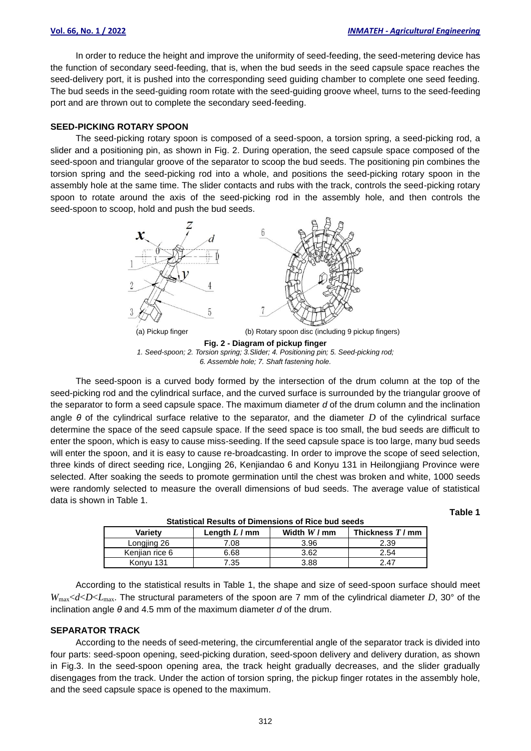**Table 1**

In order to reduce the height and improve the uniformity of seed-feeding, the seed-metering device has the function of secondary seed-feeding, that is, when the bud seeds in the seed capsule space reaches the seed-delivery port, it is pushed into the corresponding seed guiding chamber to complete one seed feeding. The bud seeds in the seed-guiding room rotate with the seed-guiding groove wheel, turns to the seed-feeding port and are thrown out to complete the secondary seed-feeding.

#### **SEED-PICKING ROTARY SPOON**

The seed-picking rotary spoon is composed of a seed-spoon, a torsion spring, a seed-picking rod, a slider and a positioning pin, as shown in Fig. 2. During operation, the seed capsule space composed of the seed-spoon and triangular groove of the separator to scoop the bud seeds. The positioning pin combines the torsion spring and the seed-picking rod into a whole, and positions the seed-picking rotary spoon in the assembly hole at the same time. The slider contacts and rubs with the track, controls the seed-picking rotary spoon to rotate around the axis of the seed-picking rod in the assembly hole, and then controls the seed-spoon to scoop, hold and push the bud seeds.



The seed-spoon is a curved body formed by the intersection of the drum column at the top of the seed-picking rod and the cylindrical surface, and the curved surface is surrounded by the triangular groove of the separator to form a seed capsule space. The maximum diameter *d* of the drum column and the inclination angle *θ* of the cylindrical surface relative to the separator, and the diameter *D* of the cylindrical surface determine the space of the seed capsule space. If the seed space is too small, the bud seeds are difficult to enter the spoon, which is easy to cause miss-seeding. If the seed capsule space is too large, many bud seeds will enter the spoon, and it is easy to cause re-broadcasting. In order to improve the scope of seed selection, three kinds of direct seeding rice, Longjing 26, Kenjiandao 6 and Konyu 131 in Heilongjiang Province were selected. After soaking the seeds to promote germination until the chest was broken and white, 1000 seeds were randomly selected to measure the overall dimensions of bud seeds. The average value of statistical data is shown in Table 1.

| Variety        | Length $L/mm$ | Width $W/mm$ | Thickness $T/mm$ |
|----------------|---------------|--------------|------------------|
| Longjing 26    | .08           | 3.96         | 2.39             |
| Kenijan rice 6 | 6.68          | 3.62         | 2.54             |
| Konyu 131      | '.35          | 3.88         | 2.47             |

**Statistical Results of Dimensions of Rice bud seeds**

According to the statistical results in Table 1, the shape and size of seed-spoon surface should meet *W*max<*d*<*D*<*L*max. The structural parameters of the spoon are 7 mm of the cylindrical diameter *D*, 30° of the inclination angle *θ* and 4.5 mm of the maximum diameter *d* of the drum.

#### **SEPARATOR TRACK**

According to the needs of seed-metering, the circumferential angle of the separator track is divided into four parts: seed-spoon opening, seed-picking duration, seed-spoon delivery and delivery duration, as shown in Fig.3. In the seed-spoon opening area, the track height gradually decreases, and the slider gradually disengages from the track. Under the action of torsion spring, the pickup finger rotates in the assembly hole, and the seed capsule space is opened to the maximum.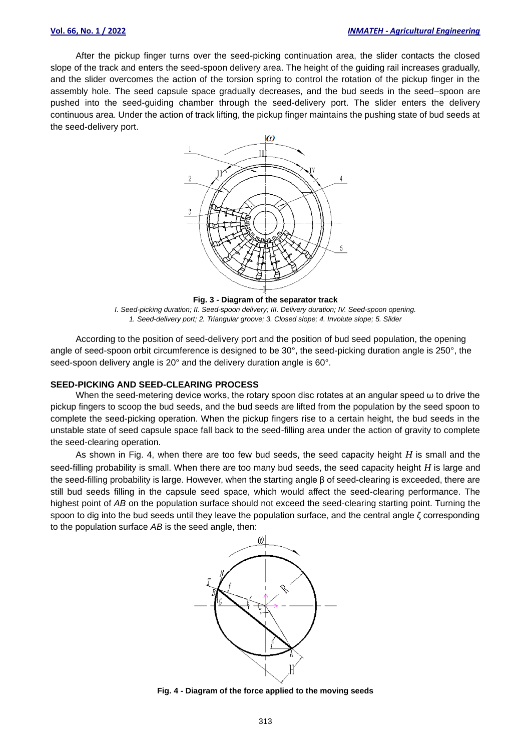After the pickup finger turns over the seed-picking continuation area, the slider contacts the closed slope of the track and enters the seed-spoon delivery area. The height of the guiding rail increases gradually, and the slider overcomes the action of the torsion spring to control the rotation of the pickup finger in the assembly hole. The seed capsule space gradually decreases, and the bud seeds in the seed–spoon are pushed into the seed-guiding chamber through the seed-delivery port. The slider enters the delivery continuous area. Under the action of track lifting, the pickup finger maintains the pushing state of bud seeds at the seed-delivery port.



*I. Seed-picking duration; II. Seed-spoon delivery; III. Delivery duration; IV. Seed-spoon opening. 1. Seed-delivery port; 2. Triangular groove; 3. Closed slope; 4. Involute slope; 5. Slider*

According to the position of seed-delivery port and the position of bud seed population, the opening angle of seed-spoon orbit circumference is designed to be 30°, the seed-picking duration angle is 250°, the seed-spoon delivery angle is 20° and the delivery duration angle is 60°.

# **SEED-PICKING AND SEED-CLEARING PROCESS**

When the seed-metering device works, the rotary spoon disc rotates at an angular speed ω to drive the pickup fingers to scoop the bud seeds, and the bud seeds are lifted from the population by the seed spoon to complete the seed-picking operation. When the pickup fingers rise to a certain height, the bud seeds in the unstable state of seed capsule space fall back to the seed-filling area under the action of gravity to complete the seed-clearing operation.

As shown in Fig. 4, when there are too few bud seeds, the seed capacity height *H* is small and the seed-filling probability is small. When there are too many bud seeds, the seed capacity height *H* is large and the seed-filling probability is large. However, when the starting angle β of seed-clearing is exceeded, there are still bud seeds filling in the capsule seed space, which would affect the seed-clearing performance. The highest point of *AB* on the population surface should not exceed the seed-clearing starting point. Turning the spoon to dig into the bud seeds until they leave the population surface, and the central angle ζ corresponding to the population surface *AB* is the seed angle, then:



**Fig. 4 - Diagram of the force applied to the moving seeds**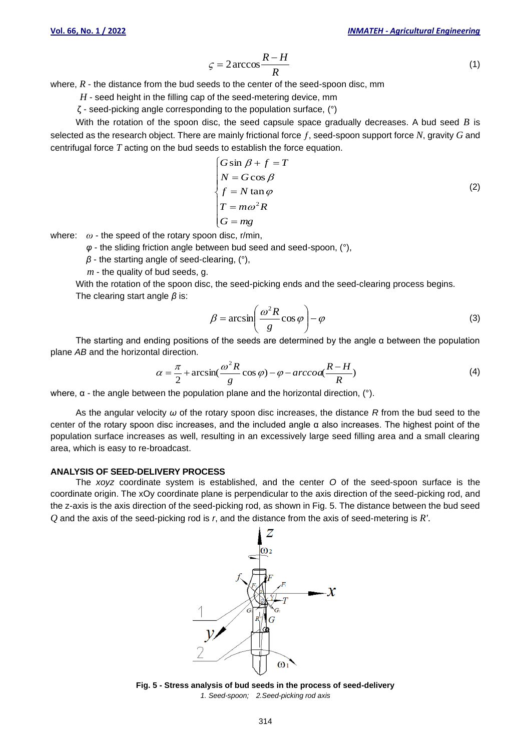$$
\varsigma = 2 \arccos \frac{R - H}{R} \tag{1}
$$

where,  $R$  - the distance from the bud seeds to the center of the seed-spoon disc, mm

*H* - seed height in the filling cap of the seed-metering device, mm

ζ - seed-picking angle corresponding to the population surface, (°)

With the rotation of the spoon disc, the seed capsule space gradually decreases. A bud seed *B* is selected as the research object. There are mainly frictional force *ƒ*, seed-spoon support force *N*, gravity *G* and centrifugal force *T* acting on the bud seeds to establish the force equation.

$$
\begin{cases}\nG \sin \beta + f = T \\
N = G \cos \beta \\
f = N \tan \varphi \\
T = m\omega^2 R \\
G = mg\n\end{cases}
$$
\n(2)

where: *ω* - the speed of the rotary spoon disc, r/min,

*φ* - the sliding friction angle between bud seed and seed-spoon, (°),

*β* - the starting angle of seed-clearing, (°),

*m* - the quality of bud seeds, g.

With the rotation of the spoon disc, the seed-picking ends and the seed-clearing process begins. The clearing start angle *β* is:

$$
\beta = \arcsin\left(\frac{\omega^2 R}{g}\cos\varphi\right) - \varphi\tag{3}
$$

The starting and ending positions of the seeds are determined by the angle  $\alpha$  between the population plane *AB* and the horizontal direction.

$$
\alpha = \frac{\pi}{2} + \arcsin(\frac{\omega^2 R}{g}\cos\varphi) - \varphi - \arccos(\frac{R-H}{R})
$$
\n(4)

where, α - the angle between the population plane and the horizontal direction, (°).

As the angular velocity *ω* of the rotary spoon disc increases, the distance *R* from the bud seed to the center of the rotary spoon disc increases, and the included angle α also increases. The highest point of the population surface increases as well, resulting in an excessively large seed filling area and a small clearing area, which is easy to re-broadcast.

#### **ANALYSIS OF SEED-DELIVERY PROCESS**

The *xoyz* coordinate system is established, and the center *O* of the seed-spoon surface is the coordinate origin. The xOy coordinate plane is perpendicular to the axis direction of the seed-picking rod, and the z-axis is the axis direction of the seed-picking rod, as shown in Fig. 5. The distance between the bud seed *Q* and the axis of the seed-picking rod is *r*, and the distance from the axis of seed-metering is *R'*.



**Fig. 5 - Stress analysis of bud seeds in the process of seed-delivery** *1. Seed-spoon; 2.Seed-picking rod axis*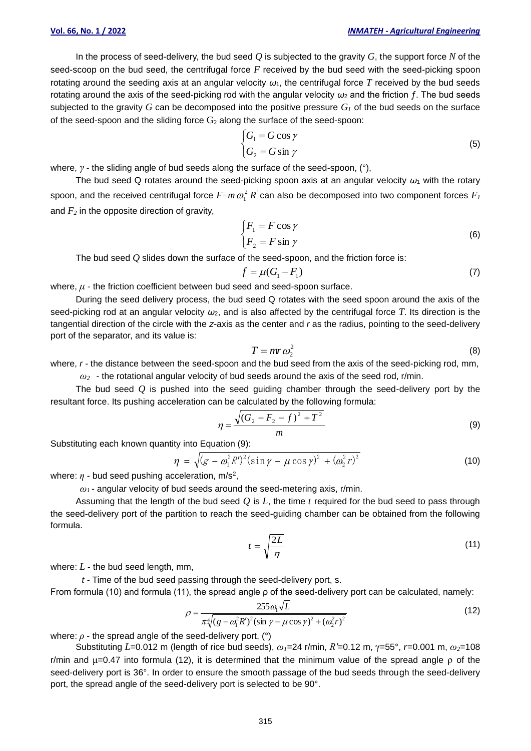#### **Vol. 66, No. 1 / 2022** *INMATEH - Agricultural Engineering*

In the process of seed-delivery, the bud seed *Q* is subjected to the gravity *G*, the support force *N* of the seed-scoop on the bud seed, the centrifugal force *F* received by the bud seed with the seed-picking spoon rotating around the seeding axis at an angular velocity *ω*1, the centrifugal force *T* received by the bud seeds rotating around the axis of the seed-picking rod with the angular velocity *ω*<sup>2</sup> and the friction ƒ. The bud seeds subjected to the gravity *G* can be decomposed into the positive pressure *G<sup>1</sup>* of the bud seeds on the surface of the seed-spoon and the sliding force  $G_2$  along the surface of the seed-spoon:

$$
\begin{cases}\nG_1 = G \cos \gamma \\
G_2 = G \sin \gamma\n\end{cases}
$$
\n(5)

where, *γ* - the sliding angle of bud seeds along the surface of the seed-spoon, (°),

The bud seed Q rotates around the seed-picking spoon axis at an angular velocity  $\omega_1$  with the rotary spoon, and the received centrifugal force  $F$ = $m\,\omega_{\rm I}^2\,R^{'}$ can also be decomposed into two component forces  $F_I$ and  $F_2$  in the opposite direction of gravity,

$$
\begin{cases}\nF_1 = F \cos \gamma \\
F_2 = F \sin \gamma\n\end{cases}
$$
\n(6)

The bud seed *Q* slides down the surface of the seed-spoon, and the friction force is:

$$
f = \mu(G_1 - F_1) \tag{7}
$$

where, *μ* - the friction coefficient between bud seed and seed-spoon surface.

During the seed delivery process, the bud seed Q rotates with the seed spoon around the axis of the seed-picking rod at an angular velocity *ω*2, and is also affected by the centrifugal force *T*. Its direction is the tangential direction of the circle with the *z*-axis as the center and *r* as the radius, pointing to the seed-delivery port of the separator, and its value is:

$$
T = mr\omega_2^2 \tag{8}
$$

where,  $r$  - the distance between the seed-spoon and the bud seed from the axis of the seed-picking rod, mm,

*ω<sup>2</sup>* - the rotational angular velocity of bud seeds around the axis of the seed rod, r/min.

The bud seed *Q* is pushed into the seed guiding chamber through the seed-delivery port by the resultant force. Its pushing acceleration can be calculated by the following formula:

$$
\eta = \frac{\sqrt{(G_2 - F_2 - f)^2 + T^2}}{m}
$$
\n(9)

Substituting each known quantity into Equation (9):

$$
\eta = \sqrt{(g - \omega_1^2 R')^2 (\sin \gamma - \mu \cos \gamma)^2 + (\omega_2^2 r)^2}
$$
(10)

where:  $\eta$  - bud seed pushing acceleration, m/s<sup>2</sup>,

*ω<sup>1</sup>* - angular velocity of bud seeds around the seed-metering axis, r/min.

Assuming that the length of the bud seed *Q* is *L*, the time *t* required for the bud seed to pass through the seed-delivery port of the partition to reach the seed-guiding chamber can be obtained from the following formula.

$$
t = \sqrt{\frac{2L}{\eta}}
$$
 (11)

where: *L* - the bud seed length, mm,

*t* - Time of the bud seed passing through the seed-delivery port, s.

From formula (10) and formula (11), the spread angle ρ of the seed-delivery port can be calculated, namely:

$$
\rho = \frac{255 \omega_1 \sqrt{L}}{\pi \sqrt[4]{(g - \omega_1^2 R')^2 (\sin \gamma - \mu \cos \gamma)^2 + (\omega_2^2 r)^2}}
$$
(12)

where:  $\rho$  - the spread angle of the seed-delivery port,  $(°)$ 

Substituting *L*=0.012 m (length of rice bud seeds), *ω1*=24 r/min, *R′*=0.12 m, γ=55°, *r*=0.001 m, *ω2*=108 r/min and μ=0.47 into formula (12), it is determined that the minimum value of the spread angle ρ of the seed-delivery port is 36°. In order to ensure the smooth passage of the bud seeds through the seed-delivery port, the spread angle of the seed-delivery port is selected to be 90°.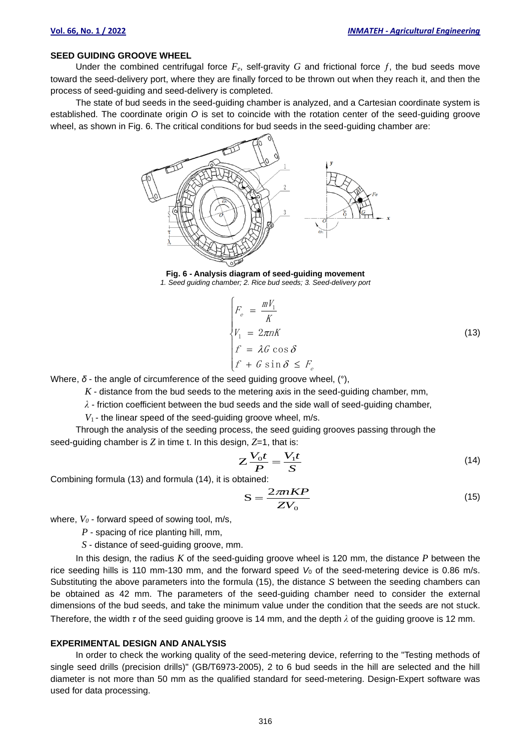### **SEED GUIDING GROOVE WHEEL**

Under the combined centrifugal force  $F_e$ , self-gravity G and frictional force f, the bud seeds move toward the seed-delivery port, where they are finally forced to be thrown out when they reach it, and then the process of seed-guiding and seed-delivery is completed.

The state of bud seeds in the seed-guiding chamber is analyzed, and a Cartesian coordinate system is established. The coordinate origin *O* is set to coincide with the rotation center of the seed-guiding groove wheel, as shown in Fig. 6. The critical conditions for bud seeds in the seed-guiding chamber are:



**Fig. 6 - Analysis diagram of seed-guiding movement** *1. Seed guiding chamber; 2. Rice bud seeds; 3. Seed-delivery port*

$$
\begin{cases}\nF_e = \frac{mV_1}{K} \\
V_1 = 2\pi nK \\
f = \lambda G \cos \delta \\
f + G \sin \delta \le F_e\n\end{cases}
$$
\n(13)

Where, *δ* - the angle of circumference of the seed guiding groove wheel, (°),

*K* - distance from the bud seeds to the metering axis in the seed-guiding chamber, mm,

*λ* - friction coefficient between the bud seeds and the side wall of seed-guiding chamber,

*V*<sup>1</sup> - the linear speed of the seed-guiding groove wheel, m/s.

Through the analysis of the seeding process, the seed guiding grooves passing through the seed-guiding chamber is *Z* in time t. In this design, *Z*=1, that is:

$$
Z\frac{V_0t}{P} = \frac{V_1t}{S}
$$
 (14)

Combining formula (13) and formula (14), it is obtained:

$$
S = \frac{2\pi nKP}{ZV_0} \tag{15}
$$

where,  $V_0$  - forward speed of sowing tool, m/s,

*P* - spacing of rice planting hill, mm,

*S* - distance of seed-guiding groove, mm.

In this design, the radius *K* of the seed-guiding groove wheel is 120 mm, the distance *P* between the rice seeding hills is 110 mm-130 mm, and the forward speed V<sub>0</sub> of the seed-metering device is 0.86 m/s. Substituting the above parameters into the formula (15), the distance *S* between the seeding chambers can be obtained as 42 mm. The parameters of the seed-guiding chamber need to consider the external dimensions of the bud seeds, and take the minimum value under the condition that the seeds are not stuck. Therefore, the width *τ* of the seed guiding groove is 14 mm, and the depth *λ* of the guiding groove is 12 mm.

#### **EXPERIMENTAL DESIGN AND ANALYSIS**

In order to check the working quality of the seed-metering device, referring to the "Testing methods of single seed drills (precision drills)" (GB/T6973-2005), 2 to 6 bud seeds in the hill are selected and the hill diameter is not more than 50 mm as the qualified standard for seed-metering. Design-Expert software was used for data processing.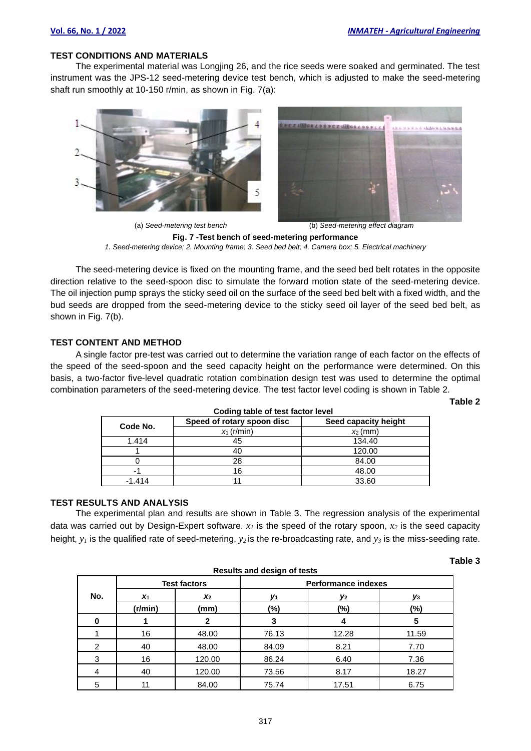## **TEST CONDITIONS AND MATERIALS**

The experimental material was Longjing 26, and the rice seeds were soaked and germinated. The test instrument was the JPS-12 seed-metering device test bench, which is adjusted to make the seed-metering shaft run smoothly at 10-150 r/min, as shown in Fig. 7(a):



(a) *Seed-metering test bench* (b) *Seed-metering effect diagram* **Fig. 7 -Test bench of seed-metering performance** *1. Seed-metering device; 2. Mounting frame; 3. Seed bed belt; 4. Camera box; 5. Electrical machinery*

The seed-metering device is fixed on the mounting frame, and the seed bed belt rotates in the opposite direction relative to the seed-spoon disc to simulate the forward motion state of the seed-metering device. The oil injection pump sprays the sticky seed oil on the surface of the seed bed belt with a fixed width, and the bud seeds are dropped from the seed-metering device to the sticky seed oil layer of the seed bed belt, as shown in Fig. 7(b).

# **TEST CONTENT AND METHOD**

A single factor pre-test was carried out to determine the variation range of each factor on the effects of the speed of the seed-spoon and the seed capacity height on the performance were determined. On this basis, a two-factor five-level quadratic rotation combination design test was used to determine the optimal combination parameters of the seed-metering device. The test factor level coding is shown in Table 2.

**Table 2**

**Table 3**

| Code No. | Speed of rotary spoon disc | Seed capacity height |  |
|----------|----------------------------|----------------------|--|
|          | $x_1$ (r/min)              | $x_2$ (mm)           |  |
| 1.414    | 45                         | 134.40               |  |
|          | 40                         | 120.00               |  |
|          | 28                         | 84.00                |  |
| -        | 16                         | 48.00                |  |
| $-1.414$ |                            | 33.60                |  |

#### **Coding table of test factor level**

# **TEST RESULTS AND ANALYSIS**

The experimental plan and results are shown in Table 3. The regression analysis of the experimental data was carried out by Design-Expert software. *x<sup>1</sup>* is the speed of the rotary spoon, *x<sup>2</sup>* is the seed capacity height, *y<sup>1</sup>* is the qualified rate of seed-metering, *y2* is the re-broadcasting rate, and *y<sup>3</sup>* is the miss-seeding rate.

| <b>Results and design of tests</b> |                     |        |                            |       |       |
|------------------------------------|---------------------|--------|----------------------------|-------|-------|
|                                    | <b>Test factors</b> |        | <b>Performance indexes</b> |       |       |
| No.                                | X <sub>1</sub>      | $x_2$  | V1                         | У2    | V3    |
|                                    | (r/min)             | (mm)   | (%)                        | (%)   | (%)   |
| 0                                  |                     | 2      | 3                          |       | 5     |
|                                    | 16                  | 48.00  | 76.13                      | 12.28 | 11.59 |
| 2                                  | 40                  | 48.00  | 84.09                      | 8.21  | 7.70  |
| 3                                  | 16                  | 120.00 | 86.24                      | 6.40  | 7.36  |
| 4                                  | 40                  | 120.00 | 73.56                      | 8.17  | 18.27 |
| 5                                  |                     | 84.00  | 75.74                      | 17.51 | 6.75  |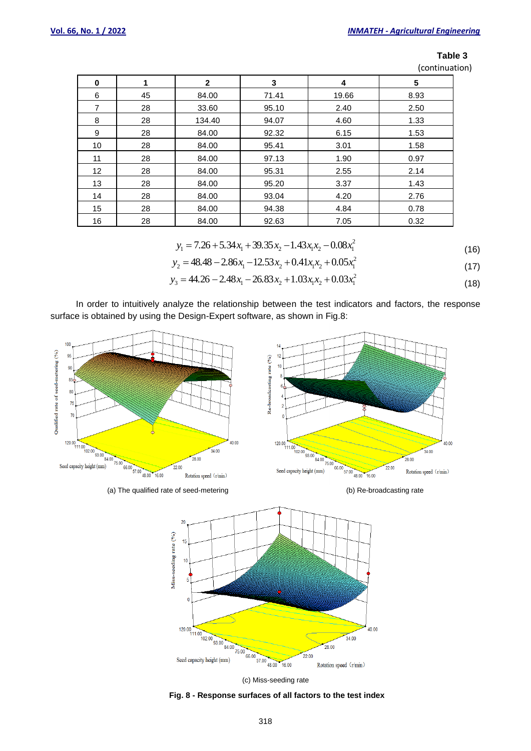| ۰.<br>٠<br>٠ |  |
|--------------|--|
|--------------|--|

(continuation)

| 0  | 1  | $\mathbf{2}$ | 3     | 4     | 5    |
|----|----|--------------|-------|-------|------|
| 6  | 45 | 84.00        | 71.41 | 19.66 | 8.93 |
| 7  | 28 | 33.60        | 95.10 | 2.40  | 2.50 |
| 8  | 28 | 134.40       | 94.07 | 4.60  | 1.33 |
| 9  | 28 | 84.00        | 92.32 | 6.15  | 1.53 |
| 10 | 28 | 84.00        | 95.41 | 3.01  | 1.58 |
| 11 | 28 | 84.00        | 97.13 | 1.90  | 0.97 |
| 12 | 28 | 84.00        | 95.31 | 2.55  | 2.14 |
| 13 | 28 | 84.00        | 95.20 | 3.37  | 1.43 |
| 14 | 28 | 84.00        | 93.04 | 4.20  | 2.76 |
| 15 | 28 | 84.00        | 94.38 | 4.84  | 0.78 |
| 16 | 28 | 84.00        | 92.63 | 7.05  | 0.32 |

$$
y_1 = 7.26 + 5.34x_1 + 39.35x_2 - 1.43x_1x_2 - 0.08x_1^2
$$
\n(16)

$$
y_2 = 48.48 - 2.86x_1 - 12.53x_2 + 0.41x_1x_2 + 0.05x_1^2
$$
\n(17)

$$
y_3 = 44.26 - 2.48x_1 - 26.83x_2 + 1.03x_1x_2 + 0.03x_1^2
$$
\n(18)

In order to intuitively analyze the relationship between the test indicators and factors, the response surface is obtained by using the Design-Expert software, as shown in Fig.8:









**Fig. 8 - Response surfaces of all factors to the test index**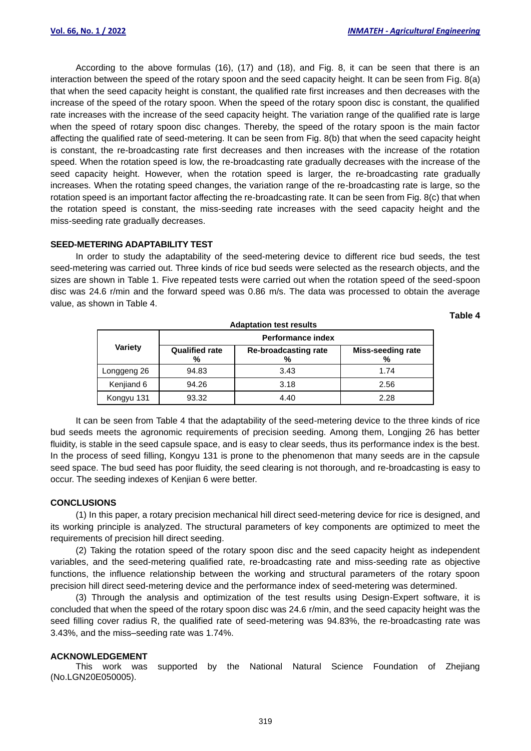**Table 4**

According to the above formulas (16), (17) and (18), and Fig. 8, it can be seen that there is an interaction between the speed of the rotary spoon and the seed capacity height. It can be seen from Fig. 8(a) that when the seed capacity height is constant, the qualified rate first increases and then decreases with the increase of the speed of the rotary spoon. When the speed of the rotary spoon disc is constant, the qualified rate increases with the increase of the seed capacity height. The variation range of the qualified rate is large when the speed of rotary spoon disc changes. Thereby, the speed of the rotary spoon is the main factor affecting the qualified rate of seed-metering. It can be seen from Fig. 8(b) that when the seed capacity height is constant, the re-broadcasting rate first decreases and then increases with the increase of the rotation speed. When the rotation speed is low, the re-broadcasting rate gradually decreases with the increase of the seed capacity height. However, when the rotation speed is larger, the re-broadcasting rate gradually increases. When the rotating speed changes, the variation range of the re-broadcasting rate is large, so the rotation speed is an important factor affecting the re-broadcasting rate. It can be seen from Fig. 8(c) that when the rotation speed is constant, the miss-seeding rate increases with the seed capacity height and the miss-seeding rate gradually decreases.

#### **SEED-METERING ADAPTABILITY TEST**

In order to study the adaptability of the seed-metering device to different rice bud seeds, the test seed-metering was carried out. Three kinds of rice bud seeds were selected as the research objects, and the sizes are shown in Table 1. Five repeated tests were carried out when the rotation speed of the seed-spoon disc was 24.6 r/min and the forward speed was 0.86 m/s. The data was processed to obtain the average value, as shown in Table 4.

| <b>Adaptation test results</b> |                            |                                  |                               |  |
|--------------------------------|----------------------------|----------------------------------|-------------------------------|--|
|                                | Performance index          |                                  |                               |  |
| <b>Variety</b>                 | <b>Qualified rate</b><br>% | <b>Re-broadcasting rate</b><br>% | <b>Miss-seeding rate</b><br>% |  |
| Longgeng 26                    | 94.83                      | 3.43                             | 1.74                          |  |
| Kenjiand 6                     | 94.26                      | 3.18                             | 2.56                          |  |
| Kongyu 131                     | 93.32                      | 4.40                             | 2.28                          |  |

It can be seen from Table 4 that the adaptability of the seed-metering device to the three kinds of rice bud seeds meets the agronomic requirements of precision seeding. Among them, Longjing 26 has better fluidity, is stable in the seed capsule space, and is easy to clear seeds, thus its performance index is the best. In the process of seed filling, Kongyu 131 is prone to the phenomenon that many seeds are in the capsule seed space. The bud seed has poor fluidity, the seed clearing is not thorough, and re-broadcasting is easy to occur. The seeding indexes of Kenjian 6 were better.

# **CONCLUSIONS**

(1) In this paper, a rotary precision mechanical hill direct seed-metering device for rice is designed, and its working principle is analyzed. The structural parameters of key components are optimized to meet the requirements of precision hill direct seeding.

(2) Taking the rotation speed of the rotary spoon disc and the seed capacity height as independent variables, and the seed-metering qualified rate, re-broadcasting rate and miss-seeding rate as objective functions, the influence relationship between the working and structural parameters of the rotary spoon precision hill direct seed-metering device and the performance index of seed-metering was determined.

(3) Through the analysis and optimization of the test results using Design-Expert software, it is concluded that when the speed of the rotary spoon disc was 24.6 r/min, and the seed capacity height was the seed filling cover radius R, the qualified rate of seed-metering was 94.83%, the re-broadcasting rate was 3.43%, and the miss–seeding rate was 1.74%.

#### **ACKNOWLEDGEMENT**

This work was supported by the National Natural Science Foundation of Zhejiang (No.LGN20E050005).